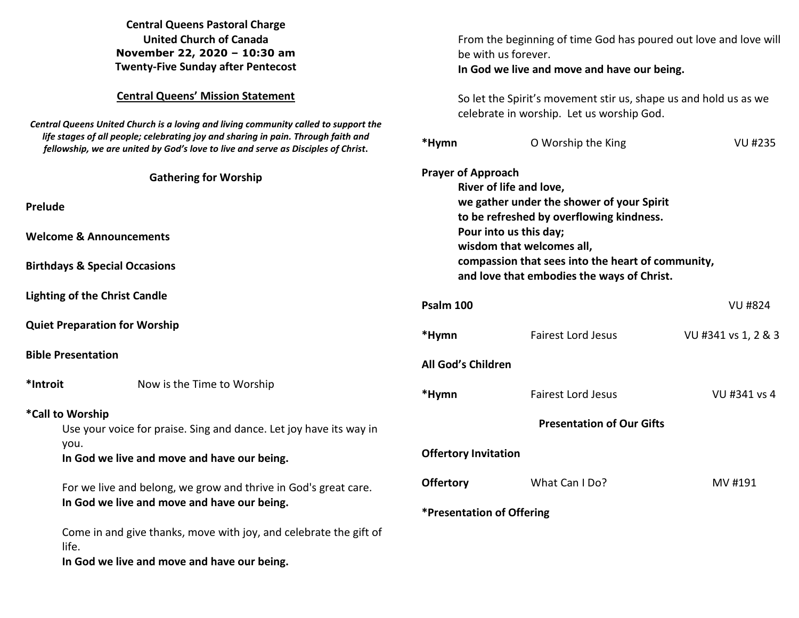|                                                                                                                                 | <b>Central Queens Pastoral Charge</b>                                                                                                                                  |                                                                                                                                                                                                                                                 |                                                                  |                     |  |
|---------------------------------------------------------------------------------------------------------------------------------|------------------------------------------------------------------------------------------------------------------------------------------------------------------------|-------------------------------------------------------------------------------------------------------------------------------------------------------------------------------------------------------------------------------------------------|------------------------------------------------------------------|---------------------|--|
|                                                                                                                                 | <b>United Church of Canada</b>                                                                                                                                         |                                                                                                                                                                                                                                                 | From the beginning of time God has poured out love and love will |                     |  |
|                                                                                                                                 | November 22, 2020 - 10:30 am                                                                                                                                           | be with us forever.<br>In God we live and move and have our being.                                                                                                                                                                              |                                                                  |                     |  |
|                                                                                                                                 | <b>Twenty-Five Sunday after Pentecost</b>                                                                                                                              |                                                                                                                                                                                                                                                 |                                                                  |                     |  |
| <b>Central Queens' Mission Statement</b><br>Central Queens United Church is a loving and living community called to support the |                                                                                                                                                                        | So let the Spirit's movement stir us, shape us and hold us as we<br>celebrate in worship. Let us worship God.                                                                                                                                   |                                                                  |                     |  |
|                                                                                                                                 | life stages of all people; celebrating joy and sharing in pain. Through faith and<br>fellowship, we are united by God's love to live and serve as Disciples of Christ. | *Hymn                                                                                                                                                                                                                                           | O Worship the King                                               | <b>VU #235</b>      |  |
|                                                                                                                                 | <b>Gathering for Worship</b>                                                                                                                                           | <b>Prayer of Approach</b><br>River of life and love,                                                                                                                                                                                            |                                                                  |                     |  |
| Prelude                                                                                                                         |                                                                                                                                                                        | we gather under the shower of your Spirit<br>to be refreshed by overflowing kindness.<br>Pour into us this day;<br>wisdom that welcomes all,<br>compassion that sees into the heart of community,<br>and love that embodies the ways of Christ. |                                                                  |                     |  |
| <b>Welcome &amp; Announcements</b>                                                                                              |                                                                                                                                                                        |                                                                                                                                                                                                                                                 |                                                                  |                     |  |
| <b>Birthdays &amp; Special Occasions</b>                                                                                        |                                                                                                                                                                        |                                                                                                                                                                                                                                                 |                                                                  |                     |  |
| <b>Lighting of the Christ Candle</b>                                                                                            |                                                                                                                                                                        | Psalm 100                                                                                                                                                                                                                                       |                                                                  | <b>VU #824</b>      |  |
| <b>Quiet Preparation for Worship</b>                                                                                            |                                                                                                                                                                        | *Hymn                                                                                                                                                                                                                                           | <b>Fairest Lord Jesus</b>                                        | VU #341 vs 1, 2 & 3 |  |
| <b>Bible Presentation</b>                                                                                                       |                                                                                                                                                                        | All God's Children                                                                                                                                                                                                                              |                                                                  |                     |  |
| *Introit                                                                                                                        | Now is the Time to Worship                                                                                                                                             | *Hymn                                                                                                                                                                                                                                           | <b>Fairest Lord Jesus</b>                                        | VU #341 vs 4        |  |
|                                                                                                                                 | *Call to Worship<br>Use your voice for praise. Sing and dance. Let joy have its way in<br>you.                                                                         | <b>Presentation of Our Gifts</b>                                                                                                                                                                                                                |                                                                  |                     |  |
| In God we live and move and have our being.                                                                                     |                                                                                                                                                                        |                                                                                                                                                                                                                                                 | <b>Offertory Invitation</b>                                      |                     |  |
|                                                                                                                                 | For we live and belong, we grow and thrive in God's great care.                                                                                                        | <b>Offertory</b>                                                                                                                                                                                                                                | What Can I Do?                                                   | MV #191             |  |
|                                                                                                                                 | In God we live and move and have our being.                                                                                                                            | *Presentation of Offering                                                                                                                                                                                                                       |                                                                  |                     |  |
|                                                                                                                                 | Come in and give thanks, move with joy, and celebrate the gift of<br>life.                                                                                             |                                                                                                                                                                                                                                                 |                                                                  |                     |  |
|                                                                                                                                 | In God we live and move and have our being.                                                                                                                            |                                                                                                                                                                                                                                                 |                                                                  |                     |  |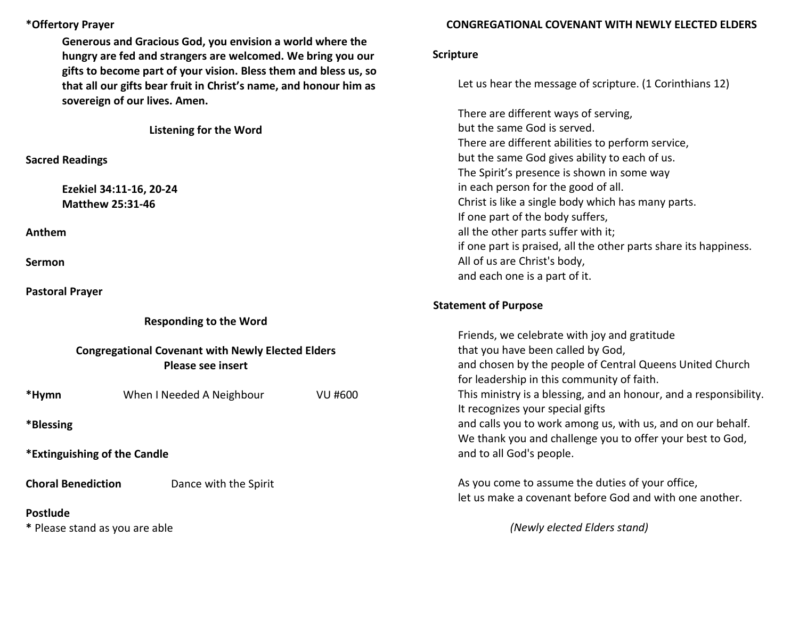### **\*Offertory Prayer**

**Generous and Gracious God, you envision a world where the hungry are fed and strangers are welcomed. We bring you our gifts to become part of your vision. Bless them and bless us, so that all our gifts bear fruit in Christ's name, and honour him as sovereign of our lives. Amen.** 

**Listening for the Word** 

**Sacred Readings** 

**Ezekiel 34:11-16, 20-24 Matthew 25:31-46** 

**Anthem** 

**Sermon**

**Pastoral Prayer**

**Responding to the Word** 

| <b>Congregational Covenant with Newly Elected Elders</b><br><b>Please see insert</b> |                           |         |  |  |  |
|--------------------------------------------------------------------------------------|---------------------------|---------|--|--|--|
| *Hymn                                                                                | When I Needed A Neighbour | VU #600 |  |  |  |
| *Blessing                                                                            |                           |         |  |  |  |
| *Extinguishing of the Candle                                                         |                           |         |  |  |  |
| <b>Choral Benediction</b>                                                            | Dance with the Spirit     |         |  |  |  |

**Postlude** 

**\*** Please stand as you are able

# **CONGREGATIONAL COVENANT WITH NEWLY ELECTED ELDERS**

### **Scripture**

Let us hear the message of scripture. (1 Corinthians 12)

There are different ways of serving, but the same God is served. There are different abilities to perform service, but the same God gives ability to each of us. The Spirit's presence is shown in some way in each person for the good of all. Christ is like a single body which has many parts.If one part of the body suffers, all the other parts suffer with it; if one part is praised, all the other parts share its happiness. All of us are Christ's body, and each one is a part of it.

# **Statement of Purpose**

 Friends, we celebrate with joy and gratitude that you have been called by God, and chosen by the people of Central Queens United Church for leadership in this community of faith. This ministry is a blessing, and an honour, and a responsibility. It recognizes your special gifts and calls you to work among us, with us, and on our behalf. We thank you and challenge you to offer your best to God, and to all God's people.

 As you come to assume the duties of your office, let us make a covenant before God and with one another.

*(Newly elected Elders stand)*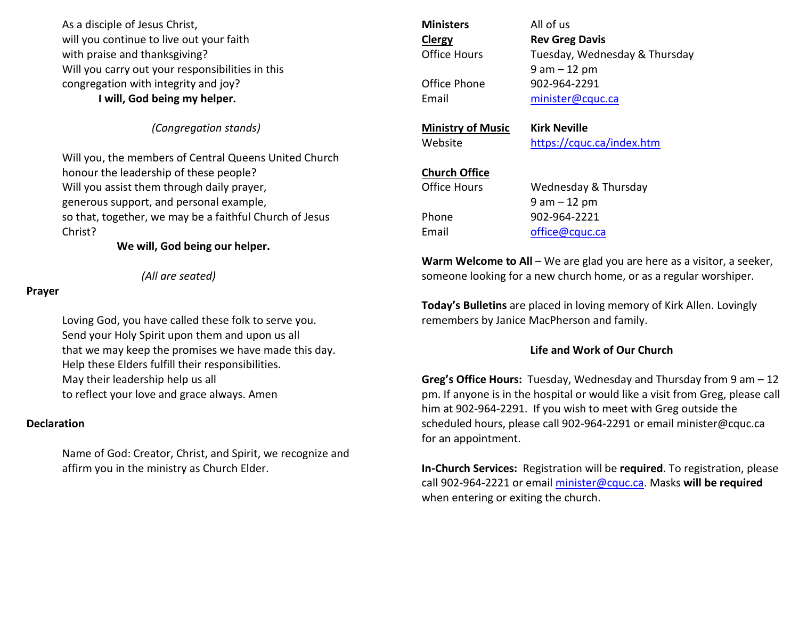As a disciple of Jesus Christ, will you continue to live out your faithwith praise and thanksgiving? Will you carry out your responsibilities in this congregation with integrity and joy? **I will, God being my helper.** 

*(Congregation stands)* 

 Will you, the members of Central Queens United Church honour the leadership of these people? Will you assist them through daily prayer, generous support, and personal example, so that, together, we may be a faithful Church of Jesus Christ?

 **We will, God being our helper.** 

 *(All are seated)* 

#### **Prayer**

Loving God, you have called these folk to serve you. Send your Holy Spirit upon them and upon us all that we may keep the promises we have made this day. Help these Elders fulfill their responsibilities. May their leadership help us all to reflect your love and grace always. Amen

## **Declaration**

Name of God: Creator, Christ, and Spirit, we recognize and affirm you in the ministry as Church Elder.

| <b>Ministers</b><br>Clergy                                                                                                                         | All of us<br><b>Rev Greg Davis</b>               |  |  |  |  |
|----------------------------------------------------------------------------------------------------------------------------------------------------|--------------------------------------------------|--|--|--|--|
| Office Hours                                                                                                                                       | Tuesday, Wednesday & Thursday<br>$9$ am $-12$ pm |  |  |  |  |
| Office Phone                                                                                                                                       | 902-964-2291                                     |  |  |  |  |
| Email                                                                                                                                              | minister@cquc.ca                                 |  |  |  |  |
| <b>Ministry of Music</b>                                                                                                                           | <b>Kirk Neville</b>                              |  |  |  |  |
| Website                                                                                                                                            | https://cquc.ca/index.htm                        |  |  |  |  |
| <b>Church Office</b>                                                                                                                               |                                                  |  |  |  |  |
| <b>Office Hours</b>                                                                                                                                | Wednesday & Thursday                             |  |  |  |  |
|                                                                                                                                                    | $9$ am $-12$ pm                                  |  |  |  |  |
| Phone                                                                                                                                              | 902-964-2221                                     |  |  |  |  |
| Email                                                                                                                                              | office@cquc.ca                                   |  |  |  |  |
| <b>Warm Welcome to All</b> – We are glad you are here as a visitor, a seeker,<br>someone looking for a new church home, or as a regular worshiper. |                                                  |  |  |  |  |

**Today's Bulletins** are placed in loving memory of Kirk Allen. Lovingly remembers by Janice MacPherson and family.

## **Life and Work of Our Church**

**Greg's Office Hours:** Tuesday, Wednesday and Thursday from 9 am – 12 pm. If anyone is in the hospital or would like a visit from Greg, please call him at 902-964-2291. If you wish to meet with Greg outside the scheduled hours, please call 902-964-2291 or email minister@cquc.ca for an appointment.

**In-Church Services:** Registration will be **required**. To registration, please call 902-964-2221 or email minister@cquc.ca. Masks **will be required**when entering or exiting the church.